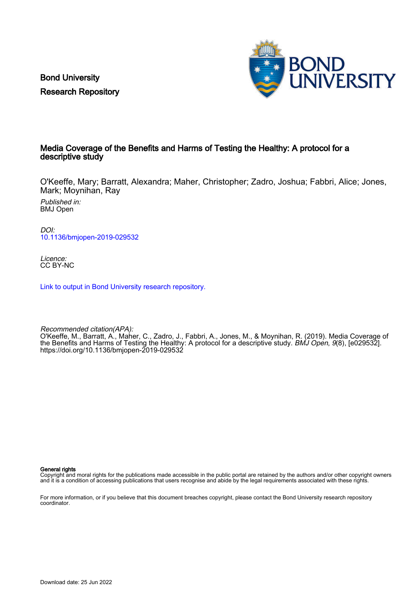Bond University Research Repository



# Media Coverage of the Benefits and Harms of Testing the Healthy: A protocol for a descriptive study

O'Keeffe, Mary; Barratt, Alexandra; Maher, Christopher; Zadro, Joshua; Fabbri, Alice; Jones, Mark; Moynihan, Ray

Published in: BMJ Open

DOI: [10.1136/bmjopen-2019-029532](https://doi.org/10.1136/bmjopen-2019-029532)

Licence: CC BY-NC

[Link to output in Bond University research repository.](https://research.bond.edu.au/en/publications/af0fd56d-8d99-418b-93e8-e7e78cca2dee)

Recommended citation(APA): O'Keeffe, M., Barratt, A., Maher, C., Zadro, J., Fabbri, A., Jones, M., & Moynihan, R. (2019). Media Coverage of the Benefits and Harms of Testing the Healthy: A protocol for a descriptive study. BMJ Open, 9(8), [e029532]. <https://doi.org/10.1136/bmjopen-2019-029532>

General rights

Copyright and moral rights for the publications made accessible in the public portal are retained by the authors and/or other copyright owners and it is a condition of accessing publications that users recognise and abide by the legal requirements associated with these rights.

For more information, or if you believe that this document breaches copyright, please contact the Bond University research repository coordinator.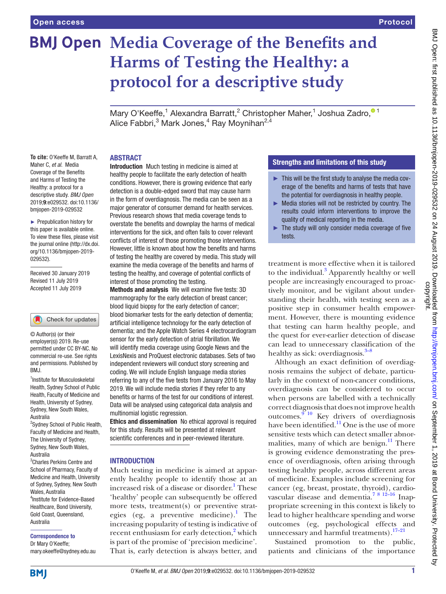# **BMJ Open Media Coverage of the Benefits and Harms of Testing the Healthy: a protocol for a descriptive study**

Mary O'Keeffe[,](http://orcid.org/0000-0001-8981-2125)<sup>1</sup> Alexandra Barratt,<sup>2</sup> Christopher Maher,<sup>1</sup> Joshua Zadro,<sup>01</sup> Alice Fabbri,<sup>3</sup> Mark Jones,<sup>4</sup> Ray Moynihan<sup>2,4</sup>

#### **ABSTRACT**

**To cite:** O'Keeffe M, Barratt A, Maher C, *et al*. Media Coverage of the Benefits and Harms of Testing the Healthy: a protocol for a descriptive study. *BMJ Open* 2019;9:e029532. doi:10.1136/ bmjopen-2019-029532

► Prepublication history for this paper is available online. To view these files, please visit the journal online (http://dx.doi. org/10.1136/bmjopen-2019- 029532).

Received 30 January 2019 Revised 11 July 2019 Accepted 11 July 2019

#### Check for updates

© Author(s) (or their employer(s)) 2019. Re-use permitted under CC BY-NC. No commercial re-use. See rights and permissions. Published by BMJ.

1 Institute for Musculoskeletal Health, Sydney School of Public Health, Faculty of Medicine and Health, University of Sydney, Sydney, New South Wales, Australia

<sup>2</sup>Sydney School of Public Health, Faculty of Medicine and Health, The University of Sydney, Sydney, New South Wales, Australia

3 Charles Perkins Centre and School of Pharmacy, Faculty of Medicine and Health, University of Sydney, Sydney, New South Wales, Australia 4 Institute for Evidence-Based Healthcare, Bond University, Gold Coast, Queensland, Australia

Correspondence to Dr Mary O'Keeffe; mary.okeeffe@sydney.edu.au

Introduction Much testing in medicine is aimed at healthy people to facilitate the early detection of health conditions. However, there is growing evidence that early detection is a double-edged sword that may cause harm in the form of overdiagnosis. The media can be seen as a major generator of consumer demand for health services. Previous research shows that media coverage tends to overstate the benefits and downplay the harms of medical interventions for the sick, and often fails to cover relevant conflicts of interest of those promoting those interventions. However, little is known about how the benefits and harms of testing the healthy are covered by media. This study will examine the media coverage of the benefits and harms of testing the healthy, and coverage of potential conflicts of interest of those promoting the testing.

Methods and analysis We will examine five tests: 3D mammography for the early detection of breast cancer; blood liquid biopsy for the early detection of cancer; blood biomarker tests for the early detection of dementia; artificial intelligence technology for the early detection of dementia; and the Apple Watch Series 4 electrocardiogram sensor for the early detection of atrial fibrillation. We will identify media coverage using Google News and the LexisNexis and ProQuest electronic databases. Sets of two independent reviewers will conduct story screening and coding. We will include English language media stories referring to any of the five tests from January 2016 to May 2019. We will include media stories if they refer to any benefits or harms of the test for our conditions of interest. Data will be analysed using categorical data analysis and multinomial logistic regression.

Ethics and dissemination No ethical approval is required for this study. Results will be presented at relevant scientific conferences and in peer-reviewed literature.

#### **INTRODUCTION**

Much testing in medicine is aimed at apparently healthy people to identify those at an increased risk of a disease or disorder.<sup>1</sup> These 'healthy' people can subsequently be offered more tests, treatment(s) or preventive strat-egies (eg, a preventive medicine).<sup>[1](#page-7-0)</sup> The increasing popularity of testing is indicative of recent enthusiasm for early detection,<sup>[2](#page-7-1)</sup> which is part of the promise of 'precision medicine'. That is, early detection is always better, and

## Strengths and limitations of this study

- ► This will be the first study to analyse the media coverage of the benefits and harms of tests that have the potential for overdiagnosis in healthy people.
- ► Media stories will not be restricted by country. The results could inform interventions to improve the quality of medical reporting in the media.
- $\blacktriangleright$  The study will only consider media coverage of five tests.

treatment is more effective when it is tailored to the individual.<sup>3</sup> Apparently healthy or well people are increasingly encouraged to proactively monitor, and be vigilant about understanding their health, with testing seen as a positive step in consumer health empowerment. However, there is mounting evidence that testing can harm healthy people, and the quest for ever-earlier detection of disease can lead to unnecessary classification of the healthy as sick: overdiagnosis. $3-8$ 

Although an exact definition of overdiagnosis remains the subject of debate, particularly in the context of non-cancer conditions, overdiagnosis can be considered to occur when persons are labelled with a technically correct diagnosis that does not improve health  $\frac{9}{10}$  Key drivers of overdiagnosis have been identified.<sup>[11](#page-7-4)</sup> One is the use of more sensitive tests which can detect smaller abnormalities, many of which are benign. $11$  There is growing evidence demonstrating the presence of overdiagnosis, often arising through testing healthy people, across different areas of medicine. Examples include screening for cancer (eg, breast, prostate, thyroid), cardiovascular disease and dementia.[7 8 12–16](#page-7-5) Inappropriate screening in this context is likely to lead to higher healthcare spending and worse outcomes (eg, psychological effects and unnecessary and harmful treatments).<sup>17-21</sup>

Sustained promotion to the public, patients and clinicians of the importance

**BMI**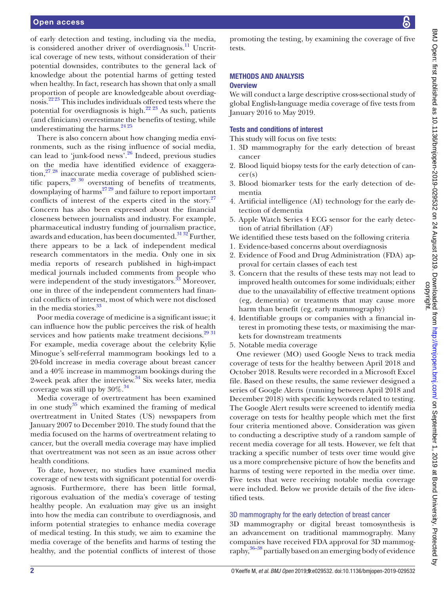of early detection and testing, including via the media, is considered another driver of overdiagnosis.<sup>[11](#page-7-4)</sup> Uncritical coverage of new tests, without consideration of their potential downsides, contributes to the general lack of knowledge about the potential harms of getting tested when healthy. In fact, research has shown that only a small proportion of people are knowledgeable about overdiagnosis.[22 23](#page-7-7) This includes individuals offered tests where the potential for overdiagnosis is high. $^{22\ 23}$  As such, patients (and clinicians) overestimate the benefits of testing, while underestimating the harms.<sup>[24 25](#page-7-8)</sup>

There is also concern about how changing media environments, such as the rising influence of social media, can lead to 'junk-food news'.[26](#page-7-9) Indeed, previous studies on the media have identified evidence of exaggeration, $27 \frac{28}{3}$  inaccurate media coverage of published scientific papers, $2930$  overstating of benefits of treatments, downplaying of harms<sup>2729</sup> and failure to report important conflicts of interest of the experts cited in the story.<sup>27</sup> Concern has also been expressed about the financial closeness between journalists and industry. For example, pharmaceutical industry funding of journalism practice, awards and education, has been documented.<sup>[31 32](#page-7-12)</sup> Further, there appears to be a lack of independent medical research commentators in the media. Only one in six media reports of research published in high-impact medical journals included comments from people who were independent of the study investigators.<sup>[33](#page-7-13)</sup> Moreover, one in three of the independent commenters had financial conflicts of interest, most of which were not disclosed in the media stories.<sup>[33](#page-7-13)</sup>

Poor media coverage of medicine is a significant issue; it can influence how the public perceives the risk of health services and how patients make treatment decisions.<sup>29 31</sup> For example, media coverage about the celebrity Kylie Minogue's self-referral mammogram bookings led to a 20-fold increase in media coverage about breast cancer and a 40% increase in mammogram bookings during the 2-week peak after the interview.<sup>[34](#page-7-14)</sup> Six weeks later, media coverage was still up by  $30\%$ .<sup>34</sup>

Media coverage of overtreatment has been examined in one study $35$  which examined the framing of medical overtreatment in United States (US) newspapers from January 2007 to December 2010. The study found that the media focused on the harms of overtreatment relating to cancer, but the overall media coverage may have implied that overtreatment was not seen as an issue across other health conditions.

To date, however, no studies have examined media coverage of new tests with significant potential for overdiagnosis. Furthermore, there has been little formal, rigorous evaluation of the media's coverage of testing healthy people. An evaluation may give us an insight into how the media can contribute to overdiagnosis, and inform potential strategies to enhance media coverage of medical testing. In this study, we aim to examine the media coverage of the benefits and harms of testing the healthy, and the potential conflicts of interest of those

promoting the testing, by examining the coverage of five tests.

## Methods and analysis

### **Overview**

We will conduct a large descriptive cross-sectional study of global English-language media coverage of five tests from January 2016 to May 2019.

#### Tests and conditions of interest

This study will focus on five tests:

- 1. 3D mammography for the early detection of breast cancer
- 2. Blood liquid biopsy tests for the early detection of cancer(s)
- 3. Blood biomarker tests for the early detection of dementia
- 4. Artificial intelligence (AI) technology for the early detection of dementia
- 5. Apple Watch Series 4 ECG sensor for the early detection of atrial fibrillation (AF)
- We identified these tests based on the following criteria
- 1. Evidence-based concerns about overdiagnosis
- 2. Evidence of Food and Drug Administration (FDA) approval for certain classes of each test
- 3. Concern that the results of these tests may not lead to improved health outcomes for some individuals; either due to the unavailability of effective treatment options (eg, dementia) or treatments that may cause more harm than benefit (eg, early mammography)
- 4. Identifiable groups or companies with a financial interest in promoting these tests, or maximising the markets for downstream treatments
- 5. Notable media coverage

One reviewer (MO) used Google News to track media coverage of tests for the healthy between April 2018 and October 2018. Results were recorded in a Microsoft Excel file. Based on these results, the same reviewer designed a series of Google Alerts (running between April 2018 and December 2018) with specific keywords related to testing. The Google Alert results were screened to identify media coverage on tests for healthy people which met the first four criteria mentioned above. Consideration was given to conducting a descriptive study of a random sample of recent media coverage for all tests. However, we felt that tracking a specific number of tests over time would give us a more comprehensive picture of how the benefits and harms of testing were reported in the media over time. Five tests that were receiving notable media coverage were included. Below we provide details of the five identified tests.

#### 3D mammography for the early detection of breast cancer

3D mammography or digital breast tomosynthesis is an advancement on traditional mammography. Many companies have received FDA approval for 3D mammography,[36–38](#page-7-16) partially based on an emerging body of evidence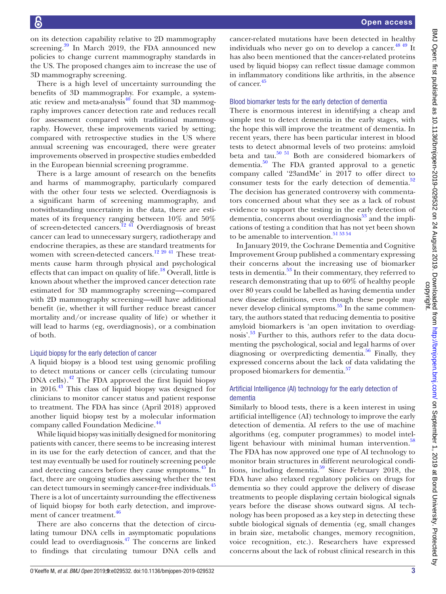on its detection capability relative to 2D mammography screening. $39$  In March 2019, the FDA announced new policies to change current mammography standards in the US. The proposed changes aim to increase the use of 3D mammography screening.

There is a high level of uncertainty surrounding the benefits of 3D mammography. For example, a systematic review and meta-analysis $40$  found that 3D mammography improves cancer detection rate and reduces recall for assessment compared with traditional mammography. However, these improvements varied by setting; compared with retrospective studies in the US where annual screening was encouraged, there were greater improvements observed in prospective studies embedded in the European biennial screening programme.

There is a large amount of research on the benefits and harms of mammography, particularly compared with the other four tests we selected. Overdiagnosis is a significant harm of screening mammography, and notwithstanding uncertainty in the data, there are estimates of its frequency ranging between 10% and 50% of screen-detected cancers.[12 41](#page-7-19) Overdiagnosis of breast cancer can lead to unnecessary surgery, radiotherapy and endocrine therapies, as these are standard treatments for women with screen-detected cancers.<sup>12 20 41</sup> These treatments cause harm through physical and psychological effects that can impact on quality of life.<sup>18</sup> Overall, little is known about whether the improved cancer detection rate estimated for 3D mammography screening—compared with 2D mammography screening—will have additional benefit (ie, whether it will further reduce breast cancer mortality and/or increase quality of life) or whether it will lead to harms (eg, overdiagnosis), or a combination of both.

#### Liquid biopsy for the early detection of cancer

A liquid biopsy is a blood test using genomic profiling to detect mutations or cancer cells (circulating tumour DNA cells). $42$  The FDA approved the first liquid biopsy in  $2016<sup>43</sup>$  $2016<sup>43</sup>$  $2016<sup>43</sup>$  This class of liquid biopsy was designed for clinicians to monitor cancer status and patient response to treatment. The FDA has since (April 2018) approved another liquid biopsy test by a molecular information company called Foundation Medicine.<sup>[44](#page-7-23)</sup>

While liquid biopsy was initially designed for monitoring patients with cancer, there seems to be increasing interest in its use for the early detection of cancer, and that the test may eventually be used for routinely screening people and detecting cancers before they cause symptoms.<sup>[45](#page-7-24)</sup> In fact, there are ongoing studies assessing whether the test can detect tumours in seemingly cancer-free individuals[.45](#page-7-24) There is a lot of uncertainty surrounding the effectiveness of liquid biopsy for both early detection, and improve-ment of cancer treatment.<sup>[46](#page-7-25)</sup>

There are also concerns that the detection of circulating tumour DNA cells in asymptomatic populations could lead to overdiagnosis.[47](#page-7-26) The concerns are linked to findings that circulating tumour DNA cells and

cancer-related mutations have been detected in healthy individuals who never go on to develop a cancer. $48\frac{49}{1}$  It has also been mentioned that the cancer-related proteins used by liquid biopsy can reflect tissue damage common in inflammatory conditions like arthritis, in the absence of cancer.[45](#page-7-24)

### Blood biomarker tests for the early detection of dementia

There is enormous interest in identifying a cheap and simple test to detect dementia in the early stages, with the hope this will improve the treatment of dementia. In recent years, there has been particular interest in blood tests to detect abnormal levels of two proteins: amyloid beta and tau. $50$  51 Both are considered biomarkers of dementia. $50$  The FDA granted approval to a genetic company called '23andMe' in 2017 to offer direct to consumer tests for the early detection of dementia.<sup>[52](#page-8-0)</sup> The decision has generated controversy with commentators concerned about what they see as a lack of robust evidence to support the testing in the early detection of dementia, concerns about overdiagnosis $53$  and the implications of testing a condition that has not yet been shown to be amenable to intervention. $51\,53\,54$ 

In January 2019, the Cochrane Dementia and Cognitive Improvement Group published a commentary expressing their concerns about the increasing use of biomarker tests in dementia.[53](#page-8-1) In their commentary, they referred to research demonstrating that up to 60% of healthy people over 80 years could be labelled as having dementia under new disease definitions, even though these people may never develop clinical symptoms.<sup>[55](#page-8-3)</sup> In the same commentary, the authors stated that reducing dementia to positive amyloid biomarkers is 'an open invitation to overdiagnosis'[.53](#page-8-1) Further to this, authors refer to the data documenting the psychological, social and legal harms of over diagnosing or overpredicting dementia. $56$  Finally, they expressed concerns about the lack of data validating the proposed biomarkers for dementia.<sup>[57](#page-8-5)</sup>

## Artificial Intelligence (AI) technology for the early detection of dementia

Similarly to blood tests, there is a keen interest in using artificial intelligence (AI) technology to improve the early detection of dementia. AI refers to the use of machine algorithms (eg, computer programmes) to model intel-ligent behaviour with minimal human intervention.<sup>[58](#page-8-6)</sup> The FDA has now approved one type of AI technology to monitor brain structures in different neurological conditions, including dementia.<sup>59</sup> Since February 2018, the FDA have also relaxed regulatory policies on drugs for dementia so they could approve the delivery of disease treatments to people displaying certain biological signals years before the disease shows outward signs. AI technology has been proposed as a key step in detecting these subtle biological signals of dementia (eg, small changes in brain size, metabolic changes, memory recognition, voice recognition, etc.). Researchers have expressed concerns about the lack of robust clinical research in this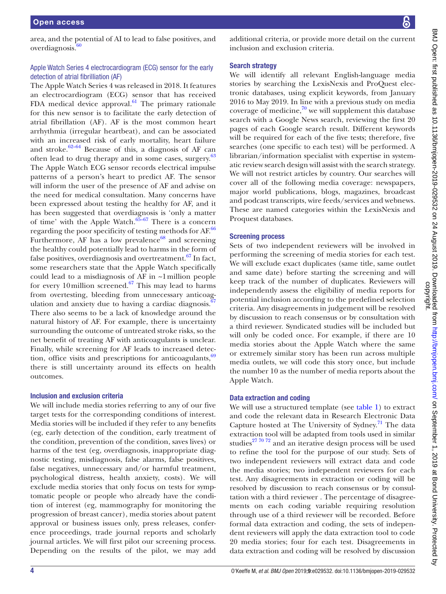area, and the potential of AI to lead to false positives, and overdiagnosis.<sup>6</sup>

# Apple Watch Series 4 electrocardiogram (ECG) sensor for the early detection of atrial fibrilliation (AF)

The Apple Watch Series 4 was released in 2018. It features an electrocardiogram (ECG) sensor that has received FDA medical device approval. $61$  The primary rationale for this new sensor is to facilitate the early detection of atrial fibrillation (AF). AF is the most common heart arrhythmia (irregular heartbeat), and can be associated with an increased risk of early mortality, heart failure and stroke. $62-64$  Because of this, a diagnosis of AF can often lead to drug therapy and in some cases, surgery.<sup>63</sup> The Apple Watch ECG sensor records electrical impulse patterns of a person's heart to predict AF. The sensor will inform the user of the presence of AF and advise on the need for medical consultation. Many concerns have been expressed about testing the healthy for AF, and it has been suggested that overdiagnosis is 'only a matter of time' with the Apple Watch. $65-67$  There is a concern regarding the poor specificity of testing methods for AF[.66](#page-8-13) Furthermore, AF has a low prevalence<sup>68</sup> and screening the healthy could potentially lead to harms in the form of false positives, overdiagnosis and overtreatment.<sup>67</sup> In fact, some researchers state that the Apple Watch specifically could lead to a misdiagnosis of AF in ~1million people for every 10 million screened. $67$  This may lead to harms from overtesting, bleeding from unnecessary anticoagulation and anxiety due to having a cardiac diagnosis.<sup>67</sup> There also seems to be a lack of knowledge around the natural history of AF. For example, there is uncertainty surrounding the outcome of untreated stroke risks, so the net benefit of treating AF with anticoagulants is unclear. Finally, while screening for AF leads to increased detection, office visits and prescriptions for anticoagulants, $69$ there is still uncertainty around its effects on health outcomes.

#### Inclusion and exclusion criteria

We will include media stories referring to any of our five target tests for the corresponding conditions of interest. Media stories will be included if they refer to any benefits (eg, early detection of the condition, early treatment of the condition, prevention of the condition, saves lives) or harms of the test (eg, overdiagnosis, inappropriate diagnostic testing, misdiagnosis, false alarms, false positives, false negatives, unnecessary and/or harmful treatment, psychological distress, health anxiety, costs). We will exclude media stories that only focus on tests for symptomatic people or people who already have the condition of interest (eg, mammography for monitoring the progression of breast cancer), media stories about patent approval or business issues only, press releases, conference proceedings, trade journal reports and scholarly journal articles. We will first pilot our screening process. Depending on the results of the pilot, we may add additional criteria, or provide more detail on the current inclusion and exclusion criteria.

# Search strategy

We will identify all relevant English-language media stories by searching the LexisNexis and ProQuest electronic databases, using explicit keywords, from January 2016 to May 2019. In line with a previous study on media coverage of medicine, $\frac{70}{10}$  we will supplement this database search with a Google News search, reviewing the first 20 pages of each Google search result. Different keywords will be required for each of the five tests; therefore, five searches (one specific to each test) will be performed. A librarian/information specialist with expertise in systematic review search design will assist with the search strategy. We will not restrict articles by country. Our searches will cover all of the following media coverage: newspapers, major world publications, blogs, magazines, broadcast and podcast transcripts, wire feeds/services and webnews. These are named categories within the LexisNexis and Proquest databases.

# Screening process

Sets of two independent reviewers will be involved in performing the screening of media stories for each test. We will exclude exact duplicates (same title, same outlet and same date) before starting the screening and will keep track of the number of duplicates. Reviewers will independently assess the eligibility of media reports for potential inclusion according to the predefined selection criteria. Any disagreements in judgement will be resolved by discussion to reach consensus or by consultation with a third reviewer. Syndicated studies will be included but will only be coded once. For example, if there are 10 media stories about the Apple Watch where the same or extremely similar story has been run across multiple media outlets, we will code this story once, but include the number 10 as the number of media reports about the Apple Watch.

# Data extraction and coding

We will use a structured template (see [table](#page-5-0) 1) to extract and code the relevant data in Research Electronic Data Capture hosted at The University of Sydney.<sup>71</sup> The data extraction tool will be adapted from tools used in similar studies<sup>[27 70 72](#page-7-10)</sup> and an iterative design process will be used to refine the tool for the purpose of our study. Sets of two independent reviewers will extract data and code the media stories; two independent reviewers for each test. Any disagreements in extraction or coding will be resolved by discussion to reach consensus or by consultation with a third reviewer . The percentage of disagreements on each coding variable requiring resolution through use of a third reviewer will be recorded. Before formal data extraction and coding, the sets of independent reviewers will apply the data extraction tool to code 20 media stories; four for each test. Disagreements in data extraction and coding will be resolved by discussion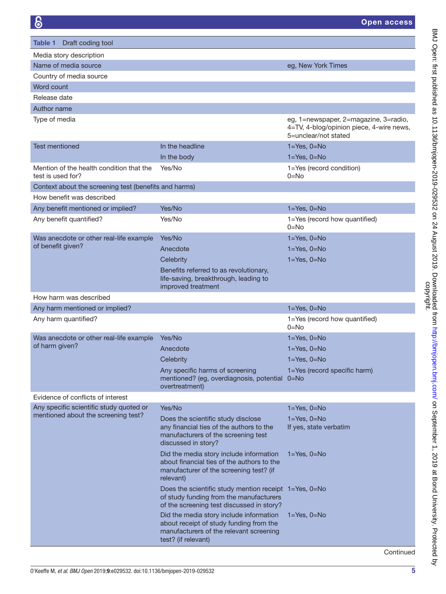<span id="page-5-0"></span>

| Table 1<br>Draft coding tool                                  |                                                                                                                                                      |                                                                                                           |
|---------------------------------------------------------------|------------------------------------------------------------------------------------------------------------------------------------------------------|-----------------------------------------------------------------------------------------------------------|
| Media story description                                       |                                                                                                                                                      |                                                                                                           |
| Name of media source                                          |                                                                                                                                                      | eg, New York Times                                                                                        |
| Country of media source                                       |                                                                                                                                                      |                                                                                                           |
| Word count                                                    |                                                                                                                                                      |                                                                                                           |
| Release date                                                  |                                                                                                                                                      |                                                                                                           |
| Author name                                                   |                                                                                                                                                      |                                                                                                           |
| Type of media                                                 |                                                                                                                                                      | eg, 1=newspaper, 2=magazine, 3=radio,<br>4=TV, 4-blog/opinion piece, 4-wire news,<br>5=unclear/not stated |
| <b>Test mentioned</b>                                         | In the headline                                                                                                                                      | $1 = Yes, 0 = No$                                                                                         |
|                                                               | In the body                                                                                                                                          | $1 = Yes, 0 = No$                                                                                         |
| Mention of the health condition that the<br>test is used for? | Yes/No                                                                                                                                               | 1=Yes (record condition)<br>$0 = No$                                                                      |
| Context about the screening test (benefits and harms)         |                                                                                                                                                      |                                                                                                           |
| How benefit was described                                     |                                                                                                                                                      |                                                                                                           |
| Any benefit mentioned or implied?                             | Yes/No                                                                                                                                               | $1 = Yes, 0 = No$                                                                                         |
| Any benefit quantified?                                       | Yes/No                                                                                                                                               | 1=Yes (record how quantified)<br>$0 = No$                                                                 |
| Was anecdote or other real-life example                       | Yes/No                                                                                                                                               | $1 = Yes, 0 = No$                                                                                         |
| of benefit given?                                             | Anecdote                                                                                                                                             | $1 = Yes, 0 = No$                                                                                         |
|                                                               | Celebrity                                                                                                                                            | $1 = Yes, 0 = No$                                                                                         |
|                                                               | Benefits referred to as revolutionary,<br>life-saving, breakthrough, leading to<br>improved treatment                                                |                                                                                                           |
| How harm was described                                        |                                                                                                                                                      |                                                                                                           |
| Any harm mentioned or implied?                                |                                                                                                                                                      | $1 = Yes, 0 = No$                                                                                         |
| Any harm quantified?                                          |                                                                                                                                                      | 1=Yes (record how quantified)<br>$0=No$                                                                   |
| Was anecdote or other real-life example                       | Yes/No                                                                                                                                               | $1 = Yes, 0 = No$                                                                                         |
| of harm given?                                                | Anecdote                                                                                                                                             | $1 = Yes, 0 = No$                                                                                         |
|                                                               | Celebrity                                                                                                                                            | $1 = Yes, 0 = No$                                                                                         |
|                                                               | Any specific harms of screening                                                                                                                      | 1=Yes (record specific harm)                                                                              |
|                                                               | mentioned? (eg, overdiagnosis, potential 0=No<br>overtreatment)                                                                                      |                                                                                                           |
| Evidence of conflicts of interest                             |                                                                                                                                                      |                                                                                                           |
| Any specific scientific study quoted or                       | Yes/No                                                                                                                                               | $1 = Yes, 0 = No$                                                                                         |
| mentioned about the screening test?                           | Does the scientific study disclose                                                                                                                   | $1 = Yes, 0 = No$                                                                                         |
|                                                               | any financial ties of the authors to the<br>manufacturers of the screening test<br>discussed in story?                                               | If yes, state verbatim                                                                                    |
|                                                               | Did the media story include information<br>about financial ties of the authors to the<br>manufacturer of the screening test? (if<br>relevant)        | $1 = Yes, 0 = No$                                                                                         |
|                                                               | Does the scientific study mention receipt 1=Yes, 0=No<br>of study funding from the manufacturers<br>of the screening test discussed in story?        |                                                                                                           |
|                                                               | Did the media story include information<br>about receipt of study funding from the<br>manufacturers of the relevant screening<br>test? (if relevant) | $1 = Yes, 0 = No$                                                                                         |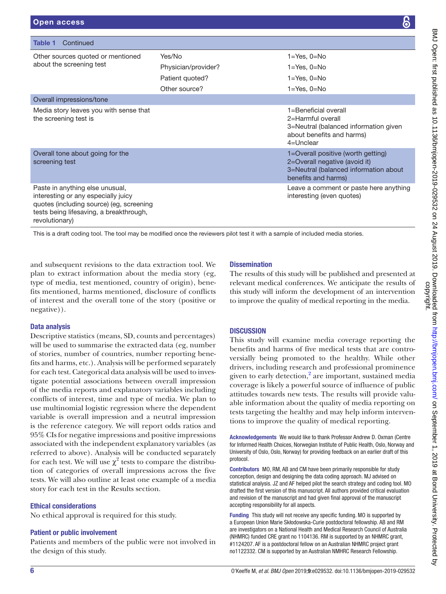| Table 1<br>Continued                                                                                                                                                            |                                                  |                                                                                                                                     |
|---------------------------------------------------------------------------------------------------------------------------------------------------------------------------------|--------------------------------------------------|-------------------------------------------------------------------------------------------------------------------------------------|
| Other sources quoted or mentioned<br>about the screening test                                                                                                                   | Yes/No<br>Physician/provider?<br>Patient quoted? | $1 = Yes$ , $0 = No$<br>$1 = Yes$ , $0 = No$<br>$1 = Yes$ , $0 = No$                                                                |
|                                                                                                                                                                                 | Other source?                                    | $1 = Yes$ , $0 = No$                                                                                                                |
| Overall impressions/tone                                                                                                                                                        |                                                  |                                                                                                                                     |
| Media story leaves you with sense that<br>the screening test is                                                                                                                 |                                                  | 1=Beneficial overall<br>2=Harmful overall<br>3=Neutral (balanced information given<br>about benefits and harms)<br>$4 =$ Unclear    |
| Overall tone about going for the<br>screening test                                                                                                                              |                                                  | 1=Overall positive (worth getting)<br>2=Overall negative (avoid it)<br>3=Neutral (balanced information about<br>benefits and harms) |
| Paste in anything else unusual,<br>interesting or any especially juicy<br>quotes (including source) (eg, screening<br>tests being lifesaving, a breakthrough,<br>revolutionary) |                                                  | Leave a comment or paste here anything<br>interesting (even quotes)                                                                 |

This is a draft coding tool. The tool may be modified once the reviewers pilot test it with a sample of included media stories.

and subsequent revisions to the data extraction tool. We plan to extract information about the media story (eg, type of media, test mentioned, country of origin), benefits mentioned, harms mentioned, disclosure of conflicts of interest and the overall tone of the story (positive or negative)).

#### Data analysis

Descriptive statistics (means, SD, counts and percentages) will be used to summarise the extracted data (eg, number of stories, number of countries, number reporting benefits and harms, etc.). Analysis will be performed separately for each test. Categorical data analysis will be used to investigate potential associations between overall impression of the media reports and explanatory variables including conflicts of interest, time and type of media. We plan to use multinomial logistic regression where the dependent variable is overall impression and a neutral impression is the reference category. We will report odds ratios and 95% CIs for negative impressions and positive impressions associated with the independent explanatory variables (as referred to above). Analysis will be conducted separately for each test. We will use  $\chi^2$  tests to compare the distribution of categories of overall impressions across the five tests. We will also outline at least one example of a media story for each test in the Results section.

# Ethical considerations

No ethical approval is required for this study.

# Patient or public involvement

Patients and members of the public were not involved in the design of this study.

# **Dissemination**

The results of this study will be published and presented at relevant medical conferences. We anticipate the results of this study will inform the development of an intervention to improve the quality of medical reporting in the media.

# **DISCUSSION**

This study will examine media coverage reporting the benefits and harms of five medical tests that are controversially being promoted to the healthy. While other drivers, including research and professional prominence given to early detection,<sup>[2](#page-7-1)</sup> are important, sustained media coverage is likely a powerful source of influence of public attitudes towards new tests. The results will provide valuable information about the quality of media reporting on tests targeting the healthy and may help inform interventions to improve the quality of medical reporting.

Acknowledgements We would like to thank Professor Andrew D. Oxman (Centre for Informed Health Choices, Norwegian Institute of Public Health, Oslo, Norway and University of Oslo, Oslo, Norway) for providing feedback on an earlier draft of this protocol.

Contributors MO, RM, AB and CM have been primarily responsible for study conception, design and designing the data coding approach. MJ advised on statistical analysis. JZ and AF helped pilot the search strategy and coding tool. MO drafted the first version of this manuscript. All authors provided critical evaluation and revision of the manuscript and had given final approval of the manuscript accepting responsibility for all aspects.

Funding This study will not receive any specific funding. MO is supported by a European Union Marie Skłodowska-Curie postdoctoral fellowship. AB and RM are investigators on a National Health and Medical Research Council of Australia (NHMRC) funded CRE grant no 1104136. RM is supported by an NHMRC grant, #1124207. AF is a postdoctoral fellow on an Australian NHMRC project grant no1122332. CM is supported by an Australian NMHRC Research Fellowship.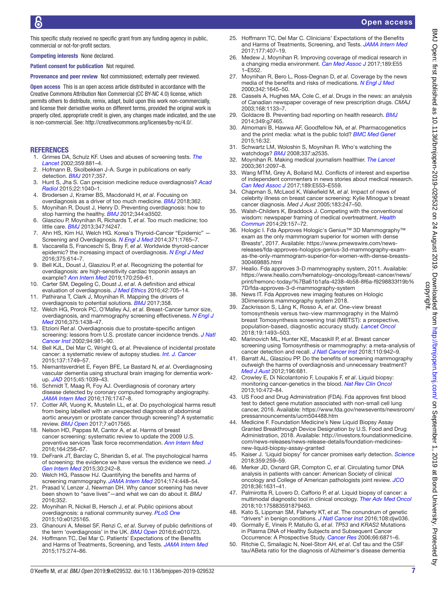This specific study received no specific grant from any funding agency in public, commercial or not-for-profit sectors.

Competing interests None declared.

Patient consent for publication Not required.

Provenance and peer review Not commissioned; externally peer reviewed.

Open access This is an open access article distributed in accordance with the Creative Commons Attribution Non Commercial (CC BY-NC 4.0) license, which permits others to distribute, remix, adapt, build upon this work non-commercially, and license their derivative works on different terms, provided the original work is properly cited, appropriate credit is given, any changes made indicated, and the use is non-commercial. See: [http://creativecommons.org/licenses/by-nc/4.0/.](http://creativecommons.org/licenses/by-nc/4.0/)

#### **REFERENCES**

- <span id="page-7-0"></span>1. Grimes DA, Schulz KF. Uses and abuses of screening tests. *[The](http://dx.doi.org/10.1016/S0140-6736(02)07948-5)  [Lancet](http://dx.doi.org/10.1016/S0140-6736(02)07948-5)* 2002;359:881–4.
- <span id="page-7-1"></span>2. Hofmann B, Skolbekken J-A. Surge in publications on early detection. *[BMJ](http://dx.doi.org/10.1136/bmj.j2102)* 2017;357.
- <span id="page-7-2"></span>3. Hunt S, Jha S. Can precision medicine reduce overdiagnosis? *[Acad](http://dx.doi.org/10.1016/j.acra.2015.05.005)  [Radiol](http://dx.doi.org/10.1016/j.acra.2015.05.005)* 2015;22:1040–1.
- 4. Brodersen J, Kramer BS, Macdonald H, *et al*. Focusing on overdiagnosis as a driver of too much medicine. *[BMJ](http://dx.doi.org/10.1136/bmj.k3494)* 2018;362.
- 5. Moynihan R, Doust J, Henry D. Preventing overdiagnosis: how to stop harming the healthy. **[BMJ](http://dx.doi.org/10.1136/bmj.e3502)** 2012;344:e3502.
- 6. Glasziou P, Moynihan R, Richards T, *et al*. Too much medicine; too little care. *[BMJ](http://dx.doi.org/10.1136/bmj.f4247)* 2013;347:f4247.
- <span id="page-7-5"></span>7. Ahn HS, Kim HJ, Welch HG. Korea's Thyroid-Cancer "Epidemic" — Screening and Overdiagnosis. *[N Engl J Med](http://dx.doi.org/10.1056/NEJMp1409841)* 2014;371:1765–7.
- 8. Vaccarella S, Franceschi S, Bray F, *et al*. Worldwide thyroid-cancer epidemic? the increasing impact of overdiagnosis. *[N Engl J Med](http://dx.doi.org/10.1056/NEJMp1604412)* 2016;375:614–7.
- <span id="page-7-3"></span>9. Bell KJL, Doust J, Glasziou P, *et al*. Recognizing the potential for overdiagnosis: are high-sensitivity cardiac troponin assays an example? *[Ann Intern Med](http://dx.doi.org/10.7326/M18-2645)* 2019;170:259–61.
- 10. Carter SM, Degeling C, Doust J, *et al*. A definition and ethical evaluation of overdiagnosis. *[J Med Ethics](http://dx.doi.org/10.1136/medethics-2015-102928)* 2016;42:705–14.
- <span id="page-7-4"></span>11. Pathirana T, Clark J, Moynihan R. Mapping the drivers of overdiagnosis to potential solutions. *[BMJ](http://dx.doi.org/10.1136/bmj.j3879)* 2017;358.
- <span id="page-7-19"></span>12. Welch HG, Prorok PC, O'Malley AJ, *et al*. Breast-Cancer tumor size, overdiagnosis, and mammography screening effectiveness. *[N Engl J](http://dx.doi.org/10.1056/NEJMoa1600249)  [Med](http://dx.doi.org/10.1056/NEJMoa1600249)* 2016;375:1438–47.
- 13. Etzioni R*et al*. Overdiagnosis due to prostate-specific antigen screening: lessons from U.S. prostate cancer incidence trends. *[J Natl](http://dx.doi.org/10.1093/jnci/94.13.981)  [Cancer Inst](http://dx.doi.org/10.1093/jnci/94.13.981)* 2002;94:981–90.
- 14. Bell KJL, Del Mar C, Wright G, *et al*. Prevalence of incidental prostate cancer: a systematic review of autopsy studies. *[Int. J. Cancer](http://dx.doi.org/10.1002/ijc.29538)* 2015;137:1749–57.
- 15. Niemantsverdriet E, Feyen BFE, Le Bastard N, *et al*. Overdiagnosing vascular dementia using structural brain imaging for dementia workup. *[JAD](http://dx.doi.org/10.3233/JAD-142103)* 2015;45:1039–43.
- 16. Schmidt T, Maag R, Foy AJ. Overdiagnosis of coronary artery disease detected by coronary computed tomography angiography. *[JAMA Intern Med](http://dx.doi.org/10.1001/jamainternmed.2016.6660)* 2016;176:1747–8.
- <span id="page-7-6"></span>17. Cotter AR, Vuong K, Mustelin LL, *et al*. Do psychological harms result from being labelled with an unexpected diagnosis of abdominal aortic aneurysm or prostate cancer through screening? A systematic review. *[BMJ Open](http://dx.doi.org/10.1136/bmjopen-2017-017565)* 2017;7:e017565.
- <span id="page-7-20"></span>18. Nelson HD, Pappas M, Cantor A, *et al*. Harms of breast cancer screening: systematic review to update the 2009 U.S. preventive services Task force recommendation. *[Ann Intern Med](http://dx.doi.org/10.7326/M15-0970)* 2016;164:256–67.
- 19. DeFrank JT, Barclay C, Sheridan S, *et al*. The psychological harms of screening: the evidence we have versus the evidence we need. *[J](http://dx.doi.org/10.1007/s11606-014-2996-5)  [Gen Intern Med](http://dx.doi.org/10.1007/s11606-014-2996-5)* 2015;30:242–8.
- 20. Welch HG, Passow HJ. Quantifying the benefits and harms of screening mammography. *[JAMA Intern Med](http://dx.doi.org/10.1001/jamainternmed.2013.13635)* 2014;174:448–54.
- 21. Prasad V, Lenzer J, Newman DH. Why cancer screening has never been shown to "save lives"—and what we can do about it. *BMJ* 2016;352.
- <span id="page-7-7"></span>22. Moynihan R, Nickel B, Hersch J, *et al*. Public opinions about overdiagnosis: a national community survey. *[PLoS One](http://dx.doi.org/10.1371/journal.pone.0125165)* 2015;10:e0125165.
- 23. Ghanouni A, Meisel SF, Renzi C, *et al*. Survey of public definitions of the term 'overdiagnosis' in the UK. *[BMJ Open](http://dx.doi.org/10.1136/bmjopen-2015-010723)* 2016;6:e010723.
- <span id="page-7-8"></span>24. Hoffmann TC, Del Mar C. Patients' Expectations of the Benefits and Harms of Treatments, Screening, and Tests. *[JAMA Intern Med](http://dx.doi.org/10.1001/jamainternmed.2014.6016)* 2015;175:274–86.
- 25. Hoffmann TC, Del Mar C. Clinicians' Expectations of the Benefits and Harms of Treatments, Screening, and Tests. *[JAMA Intern Med](http://dx.doi.org/10.1001/jamainternmed.2016.8254)* 2017;177:407–19.
- <span id="page-7-9"></span>26. Medew J, Moynihan R. Improving coverage of medical research in a changing media environment. *[Can Med Assoc J](http://dx.doi.org/10.1503/cmaj.161206)* 2017;189:E55 1–E552.
- <span id="page-7-10"></span>27. Moynihan R, Bero L, Ross-Degnan D, *et al*. Coverage by the news media of the benefits and risks of medications. *[N Engl J Med](http://dx.doi.org/10.1056/NEJM200006013422206)* 2000;342:1645–50.
- 28. Cassels A, Hughes MA, Cole C, *et al*. Drugs in the news: an analysis of Canadian newspaper coverage of new prescription drugs. *CMAJ* 2003;168:1133–7.
- <span id="page-7-11"></span>29. Goldacre B. Preventing bad reporting on health research. *[BMJ](http://dx.doi.org/10.1136/bmj.g7465)* 2014;349:g7465.
- 30. Almomani B, Hawwa AF, Goodfellow NA, *et al*. Pharmacogenetics and the print media: what is the public told? *[BMC Med Genet](http://dx.doi.org/10.1186/s12881-015-0172-3)* 2015;16:32.
- <span id="page-7-12"></span>31. Schwartz LM, Woloshin S, Moynihan R. Who's watching the watchdogs? *[BMJ](http://dx.doi.org/10.1136/bmj.a2535)* 2008;337:a2535.
- 32. Moynihan R. Making medical journalism healthier. *[The Lancet](http://dx.doi.org/10.1016/S0140-6736(03)13729-4)* 2003;361:2097–8.
- <span id="page-7-13"></span>33. Wang MTM, Grey A, Bolland MJ. Conflicts of interest and expertise of independent commenters in news stories about medical research. *[Can Med Assoc J](http://dx.doi.org/10.1503/cmaj.160538)* 2017;189:E553–E559.
- <span id="page-7-14"></span>34. Chapman S, McLeod K, Wakefield M, *et al*. Impact of news of celebrity illness on breast cancer screening: Kylie Minogue's breast cancer diagnosis. *Med J Aust* 2005;183:247–50.
- <span id="page-7-15"></span>35. Walsh-Childers K, Braddock J. Competing with the conventional wisdom: newspaper framing of medical overtreatment. *[Health](http://dx.doi.org/10.1080/10410236.2012.730173)  [Commun](http://dx.doi.org/10.1080/10410236.2012.730173)* 2014;29:157–72.
- <span id="page-7-16"></span>36. Hologic I. Fda Approves Hologic's Genius™ 3D Mammography™ exam as the only mammogram superior for women with dense Breasts\*, 2017. Available: [https://www.prnewswire.com/news](https://www.prnewswire.com/news-releases/fda-approves-hologics-genius-3d-mammography-exam-as-the-only-mammogram-superior-for-women-with-dense-breasts-300469885.html)[releases/fda-approves-hologics-genius-3d-mammography-exam](https://www.prnewswire.com/news-releases/fda-approves-hologics-genius-3d-mammography-exam-as-the-only-mammogram-superior-for-women-with-dense-breasts-300469885.html)[as-the-only-mammogram-superior-for-women-with-dense-breasts-](https://www.prnewswire.com/news-releases/fda-approves-hologics-genius-3d-mammography-exam-as-the-only-mammogram-superior-for-women-with-dense-breasts-300469885.html)[300469885.html](https://www.prnewswire.com/news-releases/fda-approves-hologics-genius-3d-mammography-exam-as-the-only-mammogram-superior-for-women-with-dense-breasts-300469885.html)
- 37. Healio. Fda approves 3-D mammography system, 2011. Available: [https://www.healio.com/hematology-oncology/breast-cancer/news/](https://www.healio.com/hematology-oncology/breast-cancer/news/print/hemonc-today/%7Ba61b1afa-4238-4b58-8f6a-f9298833f19b%7D/fda-approves-3-d-mammography-system) [print/hemonc-today/%7Ba61b1afa-4238-4b58-8f6a-f9298833f19b%](https://www.healio.com/hematology-oncology/breast-cancer/news/print/hemonc-today/%7Ba61b1afa-4238-4b58-8f6a-f9298833f19b%7D/fda-approves-3-d-mammography-system) [7D/fda-approves-3-d-mammography-system](https://www.healio.com/hematology-oncology/breast-cancer/news/print/hemonc-today/%7Ba61b1afa-4238-4b58-8f6a-f9298833f19b%7D/fda-approves-3-d-mammography-system)
- 38. News IT. Fda Approves new imaging features on Hologic 3Dimensions mammography system 2018.
- <span id="page-7-17"></span>39. Zackrisson S, Lång K, Rosso A, *et al*. One-view breast tomosynthesis versus two-view mammography in the Malmö breast Tomosynthesis screening trial (MBTST): a prospective, population-based, diagnostic accuracy study. *[Lancet Oncol](http://dx.doi.org/10.1016/S1470-2045(18)30521-7)* 2018;19:1493–503.
- <span id="page-7-18"></span>40. Marinovich ML, Hunter KE, Macaskill P, *et al*. Breast cancer screening using Tomosynthesis or mammography: a meta-analysis of cancer detection and recall. *[J Natl Cancer Inst](http://dx.doi.org/10.1093/jnci/djy121)* 2018;110:942–9.
- 41. Barratt AL, Glasziou PP. Do the benefits of screening mammography outweigh the harms of overdiagnosis and unnecessary treatment? *[Med J Aust](http://dx.doi.org/10.5694/mja12.10236)* 2012;196:681.
- <span id="page-7-21"></span>42. Crowley E, Di Nicolantonio F, Loupakis F, *et al*. Liquid biopsy: monitoring cancer-genetics in the blood. *[Nat Rev Clin Oncol](http://dx.doi.org/10.1038/nrclinonc.2013.110)* 2013;10:472–84.
- <span id="page-7-22"></span>43. US Food and Drug Administration (FDA). Fda approves first blood test to detect gene mutation associated with non-small cell lung cancer, 2016. Available: [https://www.fda.gov/newsevents/newsroom/](https://www.fda.gov/newsevents/newsroom/pressannouncements/ucm504488.htm) [pressannouncements/ucm504488.htm](https://www.fda.gov/newsevents/newsroom/pressannouncements/ucm504488.htm)
- <span id="page-7-23"></span>44. Medicine F. Foundation Medicine's New Liquid Biopsy Assay Granted Breakthrough Device Designation by U.S. Food and Drug Administration, 2018. Available: [http://investors.foundationmedicine.](http://investors.foundationmedicine.com/news-releases/news-release-details/foundation-medicines-new-liquid-biopsy-assay-granted) [com/news-releases/news-release-details/foundation-medicines](http://investors.foundationmedicine.com/news-releases/news-release-details/foundation-medicines-new-liquid-biopsy-assay-granted)[new-liquid-biopsy-assay-granted](http://investors.foundationmedicine.com/news-releases/news-release-details/foundation-medicines-new-liquid-biopsy-assay-granted)
- <span id="page-7-24"></span>45. Kaiser J. 'Liquid biopsy' for cancer promises early detection. *[Science](http://dx.doi.org/10.1126/science.359.6373.259)* 2018;359:259–59.
- <span id="page-7-25"></span>46. Merker JD, Oxnard GR, Compton C, *et al*. Circulating tumor DNA analysis in patients with cancer: American Society of clinical oncology and College of American pathologists joint review. *[JCO](http://dx.doi.org/10.1200/JCO.2017.76.8671)* 2018;36:1631–41.
- <span id="page-7-26"></span>47. Palmirotta R, Lovero D, Cafforio P, *et al*. Liquid biopsy of cancer: a multimodal diagnostic tool in clinical oncology. *[Ther Adv Med Oncol](http://dx.doi.org/10.1177/1758835918794630)* 2018;10:175883591879463.
- <span id="page-7-27"></span>48. Kato S, Lippman SM, Flaherty KT, *et al*. The conundrum of genetic "drivers" in benign conditions. *[J Natl Cancer Inst](http://dx.doi.org/10.1093/jnci/djw036)* 2016;108:djw036.
- 49. Gormally E, Vineis P, Matullo G, *et al*. *TP53* and *KRAS2* Mutations in Plasma DNA of Healthy Subjects and Subsequent Cancer Occurrence: A Prospective Study. *[Cancer Res](http://dx.doi.org/10.1158/0008-5472.CAN-05-4556)* 2006;66:6871–6.
- <span id="page-7-28"></span>50. Ritchie C, Smailagic N, Noel-Storr AH, *et al*. Csf tau and the CSF tau/ABeta ratio for the diagnosis of Alzheimer's disease dementia